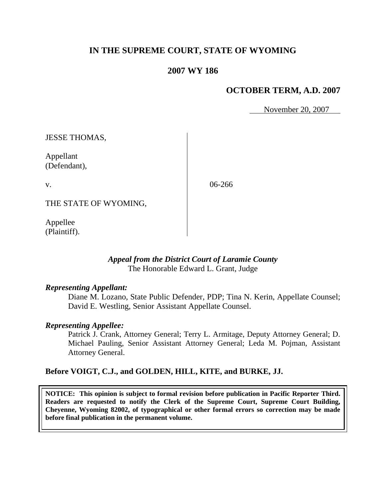# **IN THE SUPREME COURT, STATE OF WYOMING**

# **2007 WY 186**

# **OCTOBER TERM, A.D. 2007**

November 20, 2007

JESSE THOMAS,

Appellant (Defendant),

v.

06-266

THE STATE OF WYOMING,

Appellee (Plaintiff).

## *Appeal from the District Court of Laramie County* The Honorable Edward L. Grant, Judge

## *Representing Appellant:*

Diane M. Lozano, State Public Defender, PDP; Tina N. Kerin, Appellate Counsel; David E. Westling, Senior Assistant Appellate Counsel.

## *Representing Appellee:*

Patrick J. Crank, Attorney General; Terry L. Armitage, Deputy Attorney General; D. Michael Pauling, Senior Assistant Attorney General; Leda M. Pojman, Assistant Attorney General.

## **Before VOIGT, C.J., and GOLDEN, HILL, KITE, and BURKE, JJ.**

**NOTICE: This opinion is subject to formal revision before publication in Pacific Reporter Third. Readers are requested to notify the Clerk of the Supreme Court, Supreme Court Building, Cheyenne, Wyoming 82002, of typographical or other formal errors so correction may be made before final publication in the permanent volume.**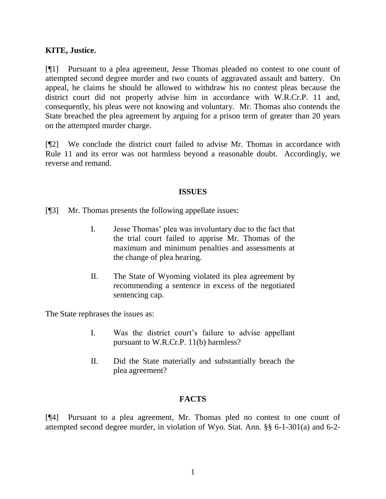## **KITE, Justice.**

[¶1] Pursuant to a plea agreement, Jesse Thomas pleaded no contest to one count of attempted second degree murder and two counts of aggravated assault and battery. On appeal, he claims he should be allowed to withdraw his no contest pleas because the district court did not properly advise him in accordance with W.R.Cr.P. 11 and, consequently, his pleas were not knowing and voluntary. Mr. Thomas also contends the State breached the plea agreement by arguing for a prison term of greater than 20 years on the attempted murder charge.

[¶2] We conclude the district court failed to advise Mr. Thomas in accordance with Rule 11 and its error was not harmless beyond a reasonable doubt. Accordingly, we reverse and remand.

## **ISSUES**

[¶3] Mr. Thomas presents the following appellate issues:

- I. Jesse Thomas' plea was involuntary due to the fact that the trial court failed to apprise Mr. Thomas of the maximum and minimum penalties and assessments at the change of plea hearing.
- II. The State of Wyoming violated its plea agreement by recommending a sentence in excess of the negotiated sentencing cap.

The State rephrases the issues as:

- I. Was the district court's failure to advise appellant pursuant to W.R.Cr.P. 11(b) harmless?
- II. Did the State materially and substantially breach the plea agreement?

# **FACTS**

[¶4] Pursuant to a plea agreement, Mr. Thomas pled no contest to one count of attempted second degree murder, in violation of Wyo. Stat. Ann. §§ 6-1-301(a) and 6-2-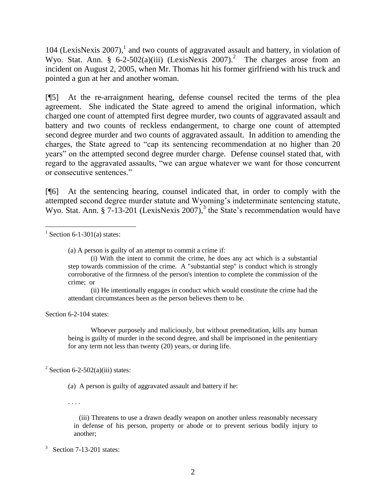104 (LexisNexis 2007), 1 and two counts of aggravated assault and battery, in violation of Wyo. Stat. Ann. § 6-2-502(a)(iii) (LexisNexis 2007).<sup>2</sup> The charges arose from an incident on August 2, 2005, when Mr. Thomas hit his former girlfriend with his truck and pointed a gun at her and another woman.

[¶5] At the re-arraignment hearing, defense counsel recited the terms of the plea agreement. She indicated the State agreed to amend the original information, which charged one count of attempted first degree murder, two counts of aggravated assault and battery and two counts of reckless endangerment, to charge one count of attempted second degree murder and two counts of aggravated assault. In addition to amending the charges, the State agreed to "cap its sentencing recommendation at no higher than 20 years" on the attempted second degree murder charge. Defense counsel stated that, with regard to the aggravated assaults, "we can argue whatever we want for those concurrent or consecutive sentences."

[¶6] At the sentencing hearing, counsel indicated that, in order to comply with the attempted second degree murder statute and Wyoming's indeterminate sentencing statute, Wyo. Stat. Ann. § 7-13-201 (LexisNexis 2007),<sup>3</sup> the State's recommendation would have

 $1$  Section 6-1-301(a) states:

l

(a) A person is guilty of an attempt to commit a crime if:

(ii) He intentionally engages in conduct which would constitute the crime had the attendant circumstances been as the person believes them to be.

Section 6-2-104 states:

Whoever purposely and maliciously, but without premeditation, kills any human being is guilty of murder in the second degree, and shall be imprisoned in the penitentiary for any term not less than twenty (20) years, or during life.

<sup>2</sup> Section 6-2-502(a)(iii) states:

(a) A person is guilty of aggravated assault and battery if he:

. . . .

 (iii) Threatens to use a drawn deadly weapon on another unless reasonably necessary in defense of his person, property or abode or to prevent serious bodily injury to another;

<sup>(</sup>i) With the intent to commit the crime, he does any act which is a substantial step towards commission of the crime. A "substantial step" is conduct which is strongly corroborative of the firmness of the person's intention to complete the commission of the crime; or

 $3$  Section 7-13-201 states: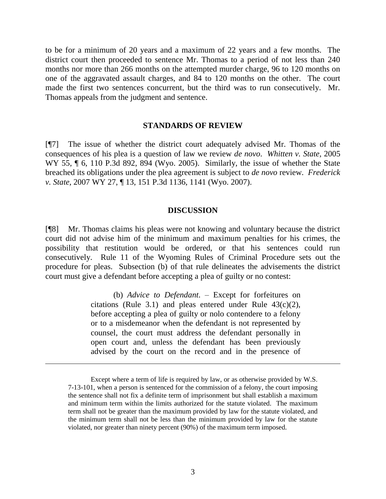to be for a minimum of 20 years and a maximum of 22 years and a few months. The district court then proceeded to sentence Mr. Thomas to a period of not less than 240 months nor more than 266 months on the attempted murder charge, 96 to 120 months on one of the aggravated assault charges, and 84 to 120 months on the other. The court made the first two sentences concurrent, but the third was to run consecutively. Mr. Thomas appeals from the judgment and sentence.

#### **STANDARDS OF REVIEW**

[¶7] The issue of whether the district court adequately advised Mr. Thomas of the consequences of his plea is a question of law we review *de novo*. *Whitten v. State,* 2005 WY 55,  $\P$  6, 110 P.3d 892, 894 (Wyo. 2005). Similarly, the issue of whether the State breached its obligations under the plea agreement is subject to *de novo* review. *Frederick v. State,* 2007 WY 27, ¶ 13, 151 P.3d 1136, 1141 (Wyo. 2007).

#### **DISCUSSION**

[¶8] Mr. Thomas claims his pleas were not knowing and voluntary because the district court did not advise him of the minimum and maximum penalties for his crimes, the possibility that restitution would be ordered, or that his sentences could run consecutively. Rule 11 of the Wyoming Rules of Criminal Procedure sets out the procedure for pleas. Subsection (b) of that rule delineates the advisements the district court must give a defendant before accepting a plea of guilty or no contest:

> (b) *Advice to Defendant*. – Except for forfeitures on citations (Rule 3.1) and pleas entered under Rule  $43(c)(2)$ , before accepting a plea of guilty or nolo contendere to a felony or to a misdemeanor when the defendant is not represented by counsel, the court must address the defendant personally in open court and, unless the defendant has been previously advised by the court on the record and in the presence of

Except where a term of life is required by law, or as otherwise provided by W.S. 7-13-101, when a person is sentenced for the commission of a felony, the court imposing the sentence shall not fix a definite term of imprisonment but shall establish a maximum and minimum term within the limits authorized for the statute violated. The maximum term shall not be greater than the maximum provided by law for the statute violated, and the minimum term shall not be less than the minimum provided by law for the statute violated, nor greater than ninety percent (90%) of the maximum term imposed.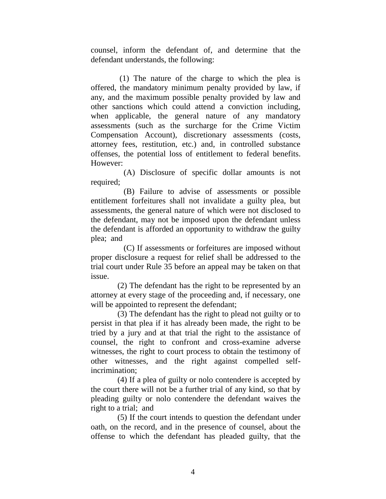counsel, inform the defendant of, and determine that the defendant understands, the following:

 (1) The nature of the charge to which the plea is offered, the mandatory minimum penalty provided by law, if any, and the maximum possible penalty provided by law and other sanctions which could attend a conviction including, when applicable, the general nature of any mandatory assessments (such as the surcharge for the Crime Victim Compensation Account), discretionary assessments (costs, attorney fees, restitution, etc.) and, in controlled substance offenses, the potential loss of entitlement to federal benefits. However:

 (A) Disclosure of specific dollar amounts is not required;

 (B) Failure to advise of assessments or possible entitlement forfeitures shall not invalidate a guilty plea, but assessments, the general nature of which were not disclosed to the defendant, may not be imposed upon the defendant unless the defendant is afforded an opportunity to withdraw the guilty plea; and

 (C) If assessments or forfeitures are imposed without proper disclosure a request for relief shall be addressed to the trial court under Rule 35 before an appeal may be taken on that issue.

 (2) The defendant has the right to be represented by an attorney at every stage of the proceeding and, if necessary, one will be appointed to represent the defendant;

 (3) The defendant has the right to plead not guilty or to persist in that plea if it has already been made, the right to be tried by a jury and at that trial the right to the assistance of counsel, the right to confront and cross-examine adverse witnesses, the right to court process to obtain the testimony of other witnesses, and the right against compelled selfincrimination;

 (4) If a plea of guilty or nolo contendere is accepted by the court there will not be a further trial of any kind, so that by pleading guilty or nolo contendere the defendant waives the right to a trial; and

 (5) If the court intends to question the defendant under oath, on the record, and in the presence of counsel, about the offense to which the defendant has pleaded guilty, that the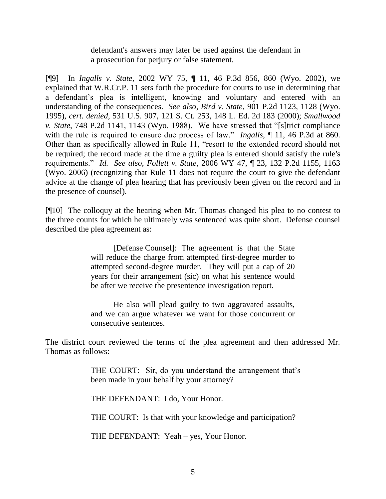defendant's answers may later be used against the defendant in a prosecution for perjury or false statement.

[¶9] In *Ingalls v. State,* 2002 WY 75, ¶ 11, 46 P.3d 856, 860 (Wyo. 2002), we explained that W.R.Cr.P. 11 sets forth the procedure for courts to use in determining that a defendant's plea is intelligent, knowing and voluntary and entered with an understanding of the consequences. *See also*, *Bird v. State*, 901 P.2d 1123, 1128 (Wyo. 1995), *cert. denied*, 531 U.S. 907, 121 S. Ct. 253, 148 L. Ed. 2d 183 (2000); *Smallwood v. State*, 748 P.2d 1141, 1143 (Wyo. 1988). We have stressed that "[s]trict compliance with the rule is required to ensure due process of law." *Ingalls*,  $\P$  11, 46 P.3d at 860. Other than as specifically allowed in Rule 11, "resort to the extended record should not be required; the record made at the time a guilty plea is entered should satisfy the rule's requirements." *Id. See also*, *Follett v. State,* 2006 WY 47, ¶ 23, 132 P.2d 1155, 1163 (Wyo. 2006) (recognizing that Rule 11 does not require the court to give the defendant advice at the change of plea hearing that has previously been given on the record and in the presence of counsel).

[¶10] The colloquy at the hearing when Mr. Thomas changed his plea to no contest to the three counts for which he ultimately was sentenced was quite short. Defense counsel described the plea agreement as:

> [Defense Counsel]: The agreement is that the State will reduce the charge from attempted first-degree murder to attempted second-degree murder. They will put a cap of 20 years for their arrangement (sic) on what his sentence would be after we receive the presentence investigation report.

> He also will plead guilty to two aggravated assaults, and we can argue whatever we want for those concurrent or consecutive sentences.

The district court reviewed the terms of the plea agreement and then addressed Mr. Thomas as follows:

> THE COURT: Sir, do you understand the arrangement that's been made in your behalf by your attorney?

THE DEFENDANT: I do, Your Honor.

THE COURT: Is that with your knowledge and participation?

THE DEFENDANT: Yeah – yes, Your Honor.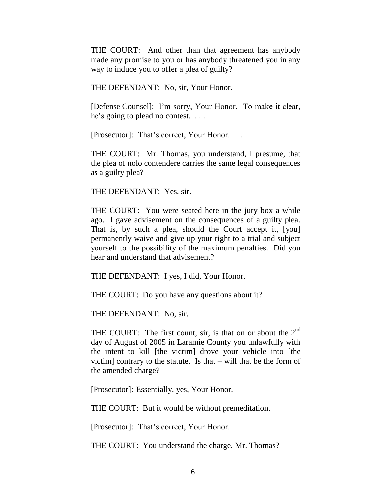THE COURT: And other than that agreement has anybody made any promise to you or has anybody threatened you in any way to induce you to offer a plea of guilty?

THE DEFENDANT: No, sir, Your Honor.

[Defense Counsel]: I'm sorry, Your Honor. To make it clear, he's going to plead no contest. ...

[Prosecutor]: That's correct, Your Honor. . . .

THE COURT: Mr. Thomas, you understand, I presume, that the plea of nolo contendere carries the same legal consequences as a guilty plea?

THE DEFENDANT: Yes, sir.

THE COURT: You were seated here in the jury box a while ago. I gave advisement on the consequences of a guilty plea. That is, by such a plea, should the Court accept it, [you] permanently waive and give up your right to a trial and subject yourself to the possibility of the maximum penalties. Did you hear and understand that advisement?

THE DEFENDANT: I yes, I did, Your Honor.

THE COURT: Do you have any questions about it?

THE DEFENDANT: No, sir.

THE COURT: The first count, sir, is that on or about the  $2<sup>nd</sup>$ day of August of 2005 in Laramie County you unlawfully with the intent to kill [the victim] drove your vehicle into [the victim] contrary to the statute. Is that  $-$  will that be the form of the amended charge?

[Prosecutor]: Essentially, yes, Your Honor.

THE COURT: But it would be without premeditation.

[Prosecutor]: That's correct, Your Honor.

THE COURT: You understand the charge, Mr. Thomas?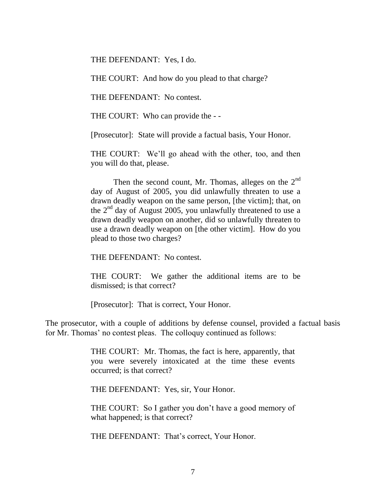THE DEFENDANT: Yes, I do.

THE COURT: And how do you plead to that charge?

THE DEFENDANT: No contest.

THE COURT: Who can provide the - -

[Prosecutor]: State will provide a factual basis, Your Honor.

THE COURT: We'll go ahead with the other, too, and then you will do that, please.

Then the second count, Mr. Thomas, alleges on the  $2<sup>nd</sup>$ day of August of 2005, you did unlawfully threaten to use a drawn deadly weapon on the same person, [the victim]; that, on the  $2<sup>nd</sup>$  day of August 2005, you unlawfully threatened to use a drawn deadly weapon on another, did so unlawfully threaten to use a drawn deadly weapon on [the other victim]. How do you plead to those two charges?

THE DEFENDANT: No contest.

THE COURT: We gather the additional items are to be dismissed; is that correct?

[Prosecutor]: That is correct, Your Honor.

The prosecutor, with a couple of additions by defense counsel, provided a factual basis for Mr. Thomas' no contest pleas. The colloquy continued as follows:

> THE COURT: Mr. Thomas, the fact is here, apparently, that you were severely intoxicated at the time these events occurred; is that correct?

THE DEFENDANT: Yes, sir, Your Honor.

THE COURT: So I gather you don't have a good memory of what happened; is that correct?

THE DEFENDANT: That's correct, Your Honor.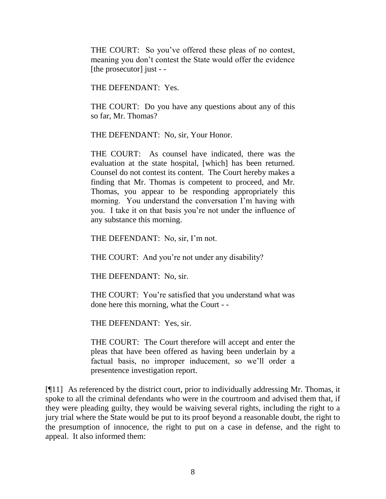THE COURT: So you've offered these pleas of no contest, meaning you don't contest the State would offer the evidence [the prosecutor] just - -

THE DEFENDANT: Yes.

THE COURT: Do you have any questions about any of this so far, Mr. Thomas?

THE DEFENDANT: No, sir, Your Honor.

THE COURT: As counsel have indicated, there was the evaluation at the state hospital, [which] has been returned. Counsel do not contest its content. The Court hereby makes a finding that Mr. Thomas is competent to proceed, and Mr. Thomas, you appear to be responding appropriately this morning. You understand the conversation I'm having with you. I take it on that basis you're not under the influence of any substance this morning.

THE DEFENDANT: No, sir, I'm not.

THE COURT: And you're not under any disability?

THE DEFENDANT: No, sir.

THE COURT: You're satisfied that you understand what was done here this morning, what the Court - -

THE DEFENDANT: Yes, sir.

THE COURT: The Court therefore will accept and enter the pleas that have been offered as having been underlain by a factual basis, no improper inducement, so we'll order a presentence investigation report.

[¶11] As referenced by the district court, prior to individually addressing Mr. Thomas, it spoke to all the criminal defendants who were in the courtroom and advised them that, if they were pleading guilty, they would be waiving several rights, including the right to a jury trial where the State would be put to its proof beyond a reasonable doubt, the right to the presumption of innocence, the right to put on a case in defense, and the right to appeal. It also informed them: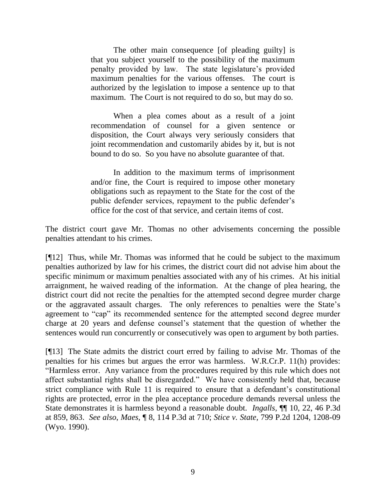The other main consequence [of pleading guilty] is that you subject yourself to the possibility of the maximum penalty provided by law. The state legislature's provided maximum penalties for the various offenses. The court is authorized by the legislation to impose a sentence up to that maximum. The Court is not required to do so, but may do so.

When a plea comes about as a result of a joint recommendation of counsel for a given sentence or disposition, the Court always very seriously considers that joint recommendation and customarily abides by it, but is not bound to do so. So you have no absolute guarantee of that.

In addition to the maximum terms of imprisonment and/or fine, the Court is required to impose other monetary obligations such as repayment to the State for the cost of the public defender services, repayment to the public defender's office for the cost of that service, and certain items of cost.

The district court gave Mr. Thomas no other advisements concerning the possible penalties attendant to his crimes.

[¶12] Thus, while Mr. Thomas was informed that he could be subject to the maximum penalties authorized by law for his crimes, the district court did not advise him about the specific minimum or maximum penalties associated with any of his crimes. At his initial arraignment, he waived reading of the information. At the change of plea hearing, the district court did not recite the penalties for the attempted second degree murder charge or the aggravated assault charges. The only references to penalties were the State's agreement to "cap" its recommended sentence for the attempted second degree murder charge at 20 years and defense counsel's statement that the question of whether the sentences would run concurrently or consecutively was open to argument by both parties.

[¶13] The State admits the district court erred by failing to advise Mr. Thomas of the penalties for his crimes but argues the error was harmless. W.R.Cr.P. 11(h) provides: "Harmless error. Any variance from the procedures required by this rule which does not affect substantial rights shall be disregarded." We have consistently held that, because strict compliance with Rule 11 is required to ensure that a defendant's constitutional rights are protected, error in the plea acceptance procedure demands reversal unless the State demonstrates it is harmless beyond a reasonable doubt. *Ingalls,* ¶¶ 10, 22, 46 P.3d at 859, 863. *See also*, *Maes,* ¶ 8, 114 P.3d at 710; *Stice v. State,* 799 P.2d 1204, 1208-09 (Wyo. 1990).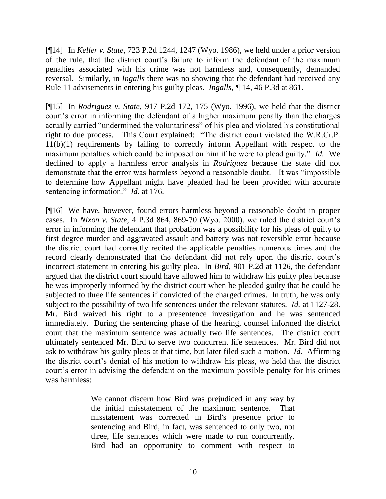[¶14] In *Keller v. State,* 723 P.2d 1244, 1247 (Wyo. 1986), we held under a prior version of the rule, that the district court's failure to inform the defendant of the maximum penalties associated with his crime was not harmless and, consequently, demanded reversal. Similarly, in *Ingalls* there was no showing that the defendant had received any Rule 11 advisements in entering his guilty pleas. *Ingalls, ¶* 14, 46 P.3d at 861.

[¶15] In *Rodriguez v. State,* 917 P.2d 172, 175 (Wyo. 1996), we held that the district court's error in informing the defendant of a higher maximum penalty than the charges actually carried "undermined the voluntariness" of his plea and violated his constitutional right to due process. This Court explained: "The district court violated the W.R.Cr.P. 11(b)(1) requirements by failing to correctly inform Appellant with respect to the maximum penalties which could be imposed on him if he were to plead guilty." *Id.* We declined to apply a harmless error analysis in *Rodriguez* because the state did not demonstrate that the error was harmless beyond a reasonable doubt. It was "impossible to determine how Appellant might have pleaded had he been provided with accurate sentencing information." *Id.* at 176.

[¶16] We have, however, found errors harmless beyond a reasonable doubt in proper cases. In *Nixon v. State,* 4 P.3d 864, 869-70 (Wyo. 2000), we ruled the district court's error in informing the defendant that probation was a possibility for his pleas of guilty to first degree murder and aggravated assault and battery was not reversible error because the district court had correctly recited the applicable penalties numerous times and the record clearly demonstrated that the defendant did not rely upon the district court's incorrect statement in entering his guilty plea. In *Bird,* 901 P.2d at 1126, the defendant argued that the district court should have allowed him to withdraw his guilty plea because he was improperly informed by the district court when he pleaded guilty that he could be subjected to three life sentences if convicted of the charged crimes. In truth, he was only subject to the possibility of two life sentences under the relevant statutes. *Id.* at 1127-28. Mr. Bird waived his right to a presentence investigation and he was sentenced immediately. During the sentencing phase of the hearing, counsel informed the district court that the maximum sentence was actually two life sentences. The district court ultimately sentenced Mr. Bird to serve two concurrent life sentences. Mr. Bird did not ask to withdraw his guilty pleas at that time, but later filed such a motion. *Id.* Affirming the district court's denial of his motion to withdraw his pleas, we held that the district court's error in advising the defendant on the maximum possible penalty for his crimes was harmless:

> We cannot discern how Bird was prejudiced in any way by the initial misstatement of the maximum sentence. That misstatement was corrected in Bird's presence prior to sentencing and Bird, in fact, was sentenced to only two, not three, life sentences which were made to run concurrently. Bird had an opportunity to comment with respect to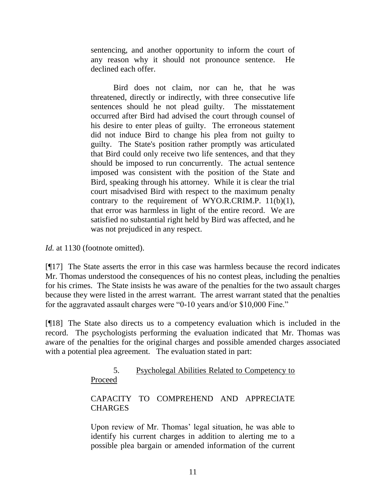sentencing, and another opportunity to inform the court of any reason why it should not pronounce sentence. He declined each offer.

Bird does not claim, nor can he, that he was threatened, directly or indirectly, with three consecutive life sentences should he not plead guilty. The misstatement occurred after Bird had advised the court through counsel of his desire to enter pleas of guilty. The erroneous statement did not induce Bird to change his plea from not guilty to guilty. The State's position rather promptly was articulated that Bird could only receive two life sentences, and that they should be imposed to run concurrently. The actual sentence imposed was consistent with the position of the State and Bird, speaking through his attorney. While it is clear the trial court misadvised Bird with respect to the maximum penalty contrary to the requirement of WYO.R.CRIM.P.  $11(b)(1)$ , that error was harmless in light of the entire record. We are satisfied no substantial right held by Bird was affected, and he was not prejudiced in any respect.

*Id.* at 1130 (footnote omitted).

[¶17] The State asserts the error in this case was harmless because the record indicates Mr. Thomas understood the consequences of his no contest pleas, including the penalties for his crimes. The State insists he was aware of the penalties for the two assault charges because they were listed in the arrest warrant. The arrest warrant stated that the penalties for the aggravated assault charges were "0-10 years and/or \$10,000 Fine."

[¶18] The State also directs us to a competency evaluation which is included in the record. The psychologists performing the evaluation indicated that Mr. Thomas was aware of the penalties for the original charges and possible amended charges associated with a potential plea agreement. The evaluation stated in part:

> 5. Psycholegal Abilities Related to Competency to Proceed

# CAPACITY TO COMPREHEND AND APPRECIATE **CHARGES**

Upon review of Mr. Thomas' legal situation, he was able to identify his current charges in addition to alerting me to a possible plea bargain or amended information of the current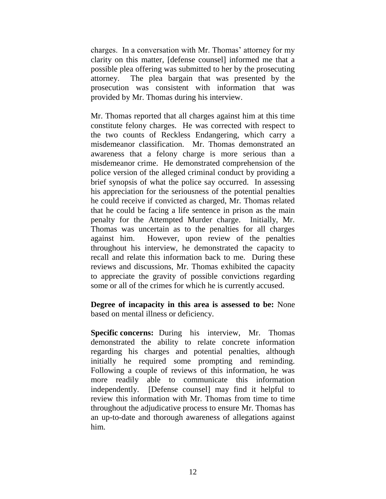charges. In a conversation with Mr. Thomas' attorney for my clarity on this matter, [defense counsel] informed me that a possible plea offering was submitted to her by the prosecuting attorney. The plea bargain that was presented by the prosecution was consistent with information that was provided by Mr. Thomas during his interview.

Mr. Thomas reported that all charges against him at this time constitute felony charges. He was corrected with respect to the two counts of Reckless Endangering, which carry a misdemeanor classification. Mr. Thomas demonstrated an awareness that a felony charge is more serious than a misdemeanor crime. He demonstrated comprehension of the police version of the alleged criminal conduct by providing a brief synopsis of what the police say occurred. In assessing his appreciation for the seriousness of the potential penalties he could receive if convicted as charged, Mr. Thomas related that he could be facing a life sentence in prison as the main penalty for the Attempted Murder charge. Initially, Mr. Thomas was uncertain as to the penalties for all charges against him. However, upon review of the penalties throughout his interview, he demonstrated the capacity to recall and relate this information back to me. During these reviews and discussions, Mr. Thomas exhibited the capacity to appreciate the gravity of possible convictions regarding some or all of the crimes for which he is currently accused.

**Degree of incapacity in this area is assessed to be:** None based on mental illness or deficiency.

**Specific concerns:** During his interview, Mr. Thomas demonstrated the ability to relate concrete information regarding his charges and potential penalties, although initially he required some prompting and reminding. Following a couple of reviews of this information, he was more readily able to communicate this information independently. [Defense counsel] may find it helpful to review this information with Mr. Thomas from time to time throughout the adjudicative process to ensure Mr. Thomas has an up-to-date and thorough awareness of allegations against him.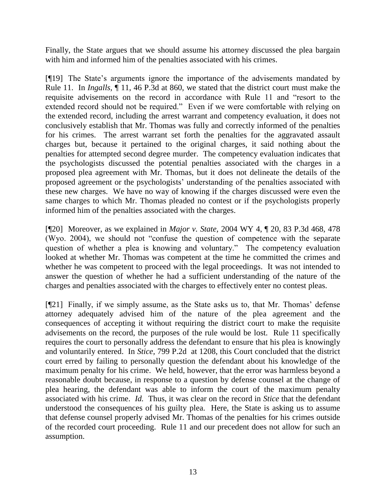Finally, the State argues that we should assume his attorney discussed the plea bargain with him and informed him of the penalties associated with his crimes.

[¶19] The State's arguments ignore the importance of the advisements mandated by Rule 11. In *Ingalls,* ¶ 11, 46 P.3d at 860, we stated that the district court must make the requisite advisements on the record in accordance with Rule 11 and "resort to the extended record should not be required." Even if we were comfortable with relying on the extended record, including the arrest warrant and competency evaluation, it does not conclusively establish that Mr. Thomas was fully and correctly informed of the penalties for his crimes. The arrest warrant set forth the penalties for the aggravated assault charges but, because it pertained to the original charges, it said nothing about the penalties for attempted second degree murder. The competency evaluation indicates that the psychologists discussed the potential penalties associated with the charges in a proposed plea agreement with Mr. Thomas, but it does not delineate the details of the proposed agreement or the psychologists' understanding of the penalties associated with these new charges. We have no way of knowing if the charges discussed were even the same charges to which Mr. Thomas pleaded no contest or if the psychologists properly informed him of the penalties associated with the charges.

[¶20] Moreover, as we explained in *Major v. State,* 2004 WY 4, ¶ 20, 83 P.3d 468, 478 (Wyo. 2004), we should not "confuse the question of competence with the separate question of whether a plea is knowing and voluntary." The competency evaluation looked at whether Mr. Thomas was competent at the time he committed the crimes and whether he was competent to proceed with the legal proceedings. It was not intended to answer the question of whether he had a sufficient understanding of the nature of the charges and penalties associated with the charges to effectively enter no contest pleas.

[¶21] Finally, if we simply assume, as the State asks us to, that Mr. Thomas' defense attorney adequately advised him of the nature of the plea agreement and the consequences of accepting it without requiring the district court to make the requisite advisements on the record, the purposes of the rule would be lost. Rule 11 specifically requires the court to personally address the defendant to ensure that his plea is knowingly and voluntarily entered. In *Stice,* 799 P.2d at 1208, this Court concluded that the district court erred by failing to personally question the defendant about his knowledge of the maximum penalty for his crime. We held, however, that the error was harmless beyond a reasonable doubt because, in response to a question by defense counsel at the change of plea hearing, the defendant was able to inform the court of the maximum penalty associated with his crime. *Id.* Thus, it was clear on the record in *Stice* that the defendant understood the consequences of his guilty plea. Here, the State is asking us to assume that defense counsel properly advised Mr. Thomas of the penalties for his crimes outside of the recorded court proceeding. Rule 11 and our precedent does not allow for such an assumption.